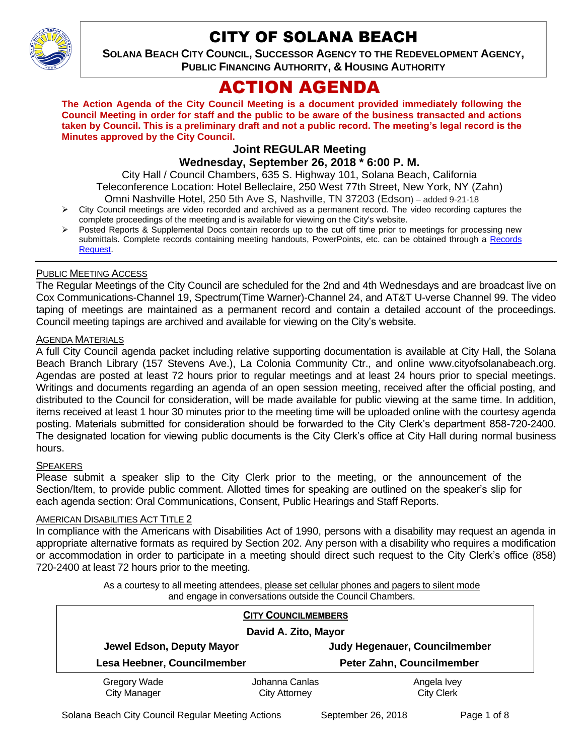

# CITY OF SOLANA BEACH

**SOLANA BEACH CITY COUNCIL, SUCCESSOR AGENCY TO THE REDEVELOPMENT AGENCY, PUBLIC FINANCING AUTHORITY, & HOUSING AUTHORITY** 

# ACTION AGENDA

**The Action Agenda of the City Council Meeting is a document provided immediately following the Council Meeting in order for staff and the public to be aware of the business transacted and actions taken by Council. This is a preliminary draft and not a public record. The meeting's legal record is the Minutes approved by the City Council.**

## **Joint REGULAR Meeting**

## **Wednesday, September 26, 2018 \* 6:00 P. M.**

City Hall / Council Chambers, 635 S. Highway 101, Solana Beach, California Teleconference Location: Hotel Belleclaire, 250 West 77th Street, New York, NY (Zahn) Omni Nashville Hotel, 250 5th Ave S, Nashville, TN 37203 (Edson) – added 9-21-18

- City Council meetings are video recorded and archived as a permanent record. The video recording captures the complete proceedings of the meeting and is available for viewing on the City's website.
- Posted Reports & Supplemental Docs contain records up to the cut off time prior to meetings for processing new submittals. Complete records containing meeting handouts, PowerPoints, etc. can be obtained through a Records [Request.](http://www.ci.solana-beach.ca.us/index.asp?SEC=F5D45D10-70CE-4291-A27C-7BD633FC6742&Type=B_BASIC)

### PUBLIC MEETING ACCESS

The Regular Meetings of the City Council are scheduled for the 2nd and 4th Wednesdays and are broadcast live on Cox Communications-Channel 19, Spectrum(Time Warner)-Channel 24, and AT&T U-verse Channel 99. The video taping of meetings are maintained as a permanent record and contain a detailed account of the proceedings. Council meeting tapings are archived and available for viewing on the City's website.

#### AGENDA MATERIALS

A full City Council agenda packet including relative supporting documentation is available at City Hall, the Solana Beach Branch Library (157 Stevens Ave.), La Colonia Community Ctr., and online www.cityofsolanabeach.org. Agendas are posted at least 72 hours prior to regular meetings and at least 24 hours prior to special meetings. Writings and documents regarding an agenda of an open session meeting, received after the official posting, and distributed to the Council for consideration, will be made available for public viewing at the same time. In addition, items received at least 1 hour 30 minutes prior to the meeting time will be uploaded online with the courtesy agenda posting. Materials submitted for consideration should be forwarded to the City Clerk's department 858-720-2400. The designated location for viewing public documents is the City Clerk's office at City Hall during normal business hours.

### **SPEAKERS**

Please submit a speaker slip to the City Clerk prior to the meeting, or the announcement of the Section/Item, to provide public comment. Allotted times for speaking are outlined on the speaker's slip for each agenda section: Oral Communications, Consent, Public Hearings and Staff Reports.

### **AMERICAN DISABILITIES ACT TITLE 2**

In compliance with the Americans with Disabilities Act of 1990, persons with a disability may request an agenda in appropriate alternative formats as required by Section 202. Any person with a disability who requires a modification or accommodation in order to participate in a meeting should direct such request to the City Clerk's office (858) 720-2400 at least 72 hours prior to the meeting.

> As a courtesy to all meeting attendees, please set cellular phones and pagers to silent mode and engage in conversations outside the Council Chambers.

| <b>CITY COUNCILMEMBERS</b><br>David A. Zito, Mayor |                                 |                                  |
|----------------------------------------------------|---------------------------------|----------------------------------|
| Jewel Edson, Deputy Mayor                          |                                 | Judy Hegenauer, Councilmember    |
| Lesa Heebner, Councilmember                        |                                 | Peter Zahn, Councilmember        |
| Gregory Wade<br><b>City Manager</b>                | Johanna Canlas<br>City Attorney | Angela Ivey<br><b>City Clerk</b> |

Solana Beach City Council Regular Meeting Actions September 26, 2018 Page 1 of 8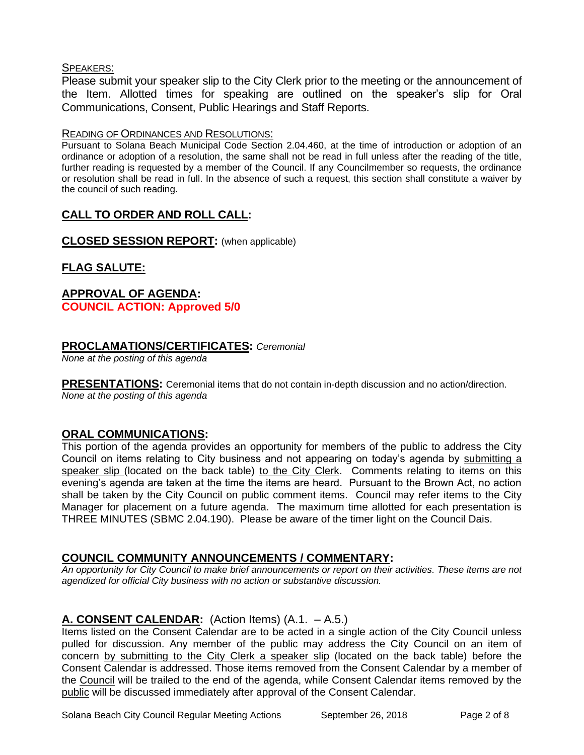#### SPEAKERS:

Please submit your speaker slip to the City Clerk prior to the meeting or the announcement of the Item. Allotted times for speaking are outlined on the speaker's slip for Oral Communications, Consent, Public Hearings and Staff Reports.

#### READING OF ORDINANCES AND RESOLUTIONS:

Pursuant to Solana Beach Municipal Code Section 2.04.460, at the time of introduction or adoption of an ordinance or adoption of a resolution, the same shall not be read in full unless after the reading of the title, further reading is requested by a member of the Council. If any Councilmember so requests, the ordinance or resolution shall be read in full. In the absence of such a request, this section shall constitute a waiver by the council of such reading.

## **CALL TO ORDER AND ROLL CALL:**

**CLOSED SESSION REPORT:** (when applicable)

## **FLAG SALUTE:**

# **APPROVAL OF AGENDA: COUNCIL ACTION: Approved 5/0**

### **PROCLAMATIONS/CERTIFICATES:** *Ceremonial*

*None at the posting of this agenda*

**PRESENTATIONS:** Ceremonial items that do not contain in-depth discussion and no action/direction. *None at the posting of this agenda*

## **ORAL COMMUNICATIONS:**

This portion of the agenda provides an opportunity for members of the public to address the City Council on items relating to City business and not appearing on today's agenda by submitting a speaker slip (located on the back table) to the City Clerk. Comments relating to items on this evening's agenda are taken at the time the items are heard. Pursuant to the Brown Act, no action shall be taken by the City Council on public comment items. Council may refer items to the City Manager for placement on a future agenda. The maximum time allotted for each presentation is THREE MINUTES (SBMC 2.04.190). Please be aware of the timer light on the Council Dais.

## **COUNCIL COMMUNITY ANNOUNCEMENTS / COMMENTARY:**

*An opportunity for City Council to make brief announcements or report on their activities. These items are not agendized for official City business with no action or substantive discussion.* 

## **A. CONSENT CALENDAR:** (Action Items) (A.1. – A.5.)

Items listed on the Consent Calendar are to be acted in a single action of the City Council unless pulled for discussion. Any member of the public may address the City Council on an item of concern by submitting to the City Clerk a speaker slip (located on the back table) before the Consent Calendar is addressed. Those items removed from the Consent Calendar by a member of the Council will be trailed to the end of the agenda, while Consent Calendar items removed by the public will be discussed immediately after approval of the Consent Calendar.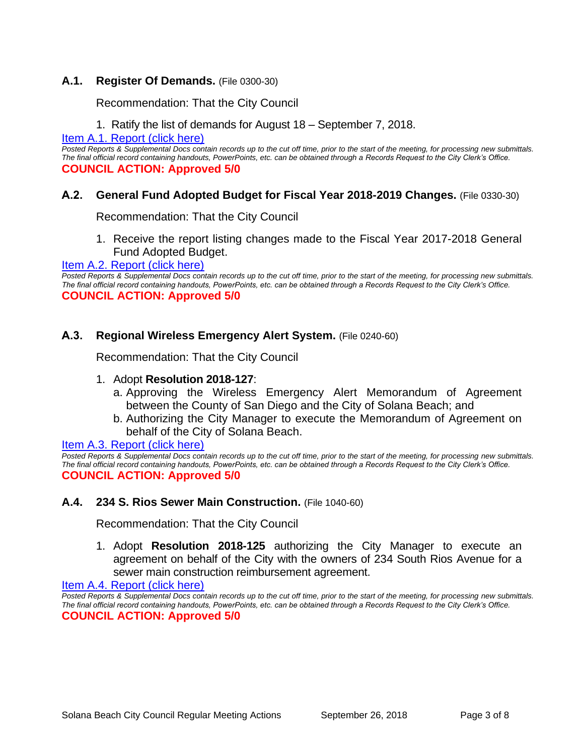## **A.1. Register Of Demands.** (File 0300-30)

Recommendation: That the City Council

1. Ratify the list of demands for August 18 – September 7, 2018.

[Item A.1. Report \(click here\)](https://solanabeach.govoffice3.com/vertical/Sites/%7B840804C2-F869-4904-9AE3-720581350CE7%7D/uploads/Item_A.1._Report_(click_here)_-_09-26-18.PDF) 

*Posted Reports & Supplemental Docs contain records up to the cut off time, prior to the start of the meeting, for processing new submittals. The final official record containing handouts, PowerPoints, etc. can be obtained through a Records Request to the City Clerk's Office.* **COUNCIL ACTION: Approved 5/0**

## **A.2. General Fund Adopted Budget for Fiscal Year 2018-2019 Changes.** (File 0330-30)

Recommendation: That the City Council

1. Receive the report listing changes made to the Fiscal Year 2017-2018 General Fund Adopted Budget.

#### [Item A.2. Report \(click here\)](https://solanabeach.govoffice3.com/vertical/Sites/%7B840804C2-F869-4904-9AE3-720581350CE7%7D/uploads/Item_A.2._Report_(click_here)_-_09-26-18.PDF)

*Posted Reports & Supplemental Docs contain records up to the cut off time, prior to the start of the meeting, for processing new submittals. The final official record containing handouts, PowerPoints, etc. can be obtained through a Records Request to the City Clerk's Office.* **COUNCIL ACTION: Approved 5/0**

### **A.3. Regional Wireless Emergency Alert System.** (File 0240-60)

Recommendation: That the City Council

#### 1. Adopt **Resolution 2018-127**:

- a. Approving the Wireless Emergency Alert Memorandum of Agreement between the County of San Diego and the City of Solana Beach; and
- b. Authorizing the City Manager to execute the Memorandum of Agreement on behalf of the City of Solana Beach.

#### [Item A.3. Report \(click here\)](https://solanabeach.govoffice3.com/vertical/Sites/%7B840804C2-F869-4904-9AE3-720581350CE7%7D/uploads/Item_A.3._Report_(click_here)_-_09-26-18.PDF)

*Posted Reports & Supplemental Docs contain records up to the cut off time, prior to the start of the meeting, for processing new submittals. The final official record containing handouts, PowerPoints, etc. can be obtained through a Records Request to the City Clerk's Office.* **COUNCIL ACTION: Approved 5/0**

### **A.4. 234 S. Rios Sewer Main Construction.** (File 1040-60)

Recommendation: That the City Council

1. Adopt **Resolution 2018-125** authorizing the City Manager to execute an agreement on behalf of the City with the owners of 234 South Rios Avenue for a sewer main construction reimbursement agreement.

[Item A.4. Report \(click here\)](https://solanabeach.govoffice3.com/vertical/Sites/%7B840804C2-F869-4904-9AE3-720581350CE7%7D/uploads/Item_A.4._Report_(click_here)_-_09-26-18.PDF) 

*Posted Reports & Supplemental Docs contain records up to the cut off time, prior to the start of the meeting, for processing new submittals. The final official record containing handouts, PowerPoints, etc. can be obtained through a Records Request to the City Clerk's Office.* **COUNCIL ACTION: Approved 5/0**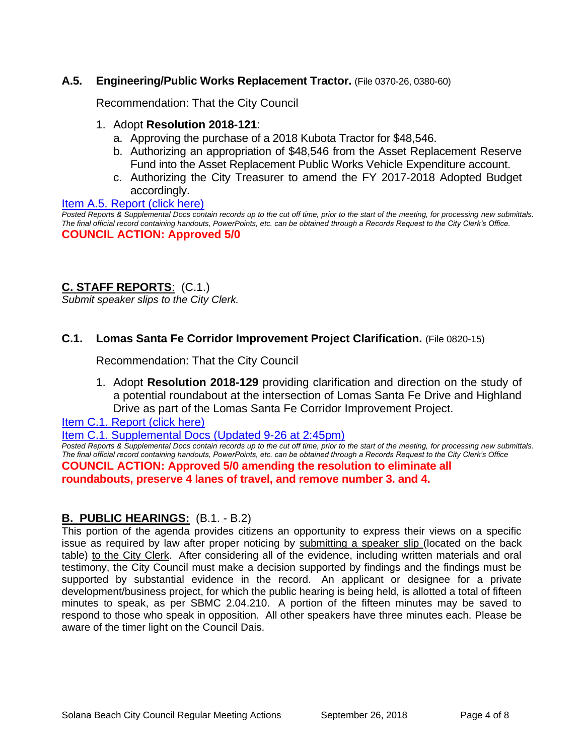## **A.5. Engineering/Public Works Replacement Tractor.** (File 0370-26, 0380-60)

Recommendation: That the City Council

### 1. Adopt **Resolution 2018-121**:

- a. Approving the purchase of a 2018 Kubota Tractor for \$48,546.
- b. Authorizing an appropriation of \$48,546 from the Asset Replacement Reserve Fund into the Asset Replacement Public Works Vehicle Expenditure account.
- c. Authorizing the City Treasurer to amend the FY 2017-2018 Adopted Budget accordingly.

#### Item A.5. Report (click here)

*Posted Reports & Supplemental Docs contain records up to the cut off time, prior to the start of the meeting, for processing new submittals. The final official record containing handouts, PowerPoints, etc. can be obtained through a Records Request to the City Clerk's Office.*

# **COUNCIL ACTION: Approved 5/0**

## **C. STAFF REPORTS**: (C.1.)

*Submit speaker slips to the City Clerk.*

## **C.1. Lomas Santa Fe Corridor Improvement Project Clarification.** (File 0820-15)

Recommendation: That the City Council

1. Adopt **Resolution 2018-129** providing clarification and direction on the study of a potential roundabout at the intersection of Lomas Santa Fe Drive and Highland Drive as part of the Lomas Santa Fe Corridor Improvement Project.

[Item C.1. Report \(click here\)](https://solanabeach.govoffice3.com/vertical/Sites/%7B840804C2-F869-4904-9AE3-720581350CE7%7D/uploads/Item_C.1._Report_(click_here)_-_09-26-18.PDF) 

[Item C.1. Supplemental Docs \(Updated 9-26](https://solanabeach.govoffice3.com/vertical/Sites/%7B840804C2-F869-4904-9AE3-720581350CE7%7D/uploads/C.1._Supplemental_Docs_(updated_9-26_at_145pm).pdf) at 2:45pm)

*Posted Reports & Supplemental Docs contain records up to the cut off time, prior to the start of the meeting, for processing new submittals. The final official record containing handouts, PowerPoints, etc. can be obtained through a Records Request to the City Clerk's Office* **COUNCIL ACTION: Approved 5/0 amending the resolution to eliminate all roundabouts, preserve 4 lanes of travel, and remove number 3. and 4.**

### **B. PUBLIC HEARINGS:** (B.1. - B.2)

This portion of the agenda provides citizens an opportunity to express their views on a specific issue as required by law after proper noticing by submitting a speaker slip (located on the back table) to the City Clerk. After considering all of the evidence, including written materials and oral testimony, the City Council must make a decision supported by findings and the findings must be supported by substantial evidence in the record. An applicant or designee for a private development/business project, for which the public hearing is being held, is allotted a total of fifteen minutes to speak, as per SBMC 2.04.210. A portion of the fifteen minutes may be saved to respond to those who speak in opposition. All other speakers have three minutes each. Please be aware of the timer light on the Council Dais.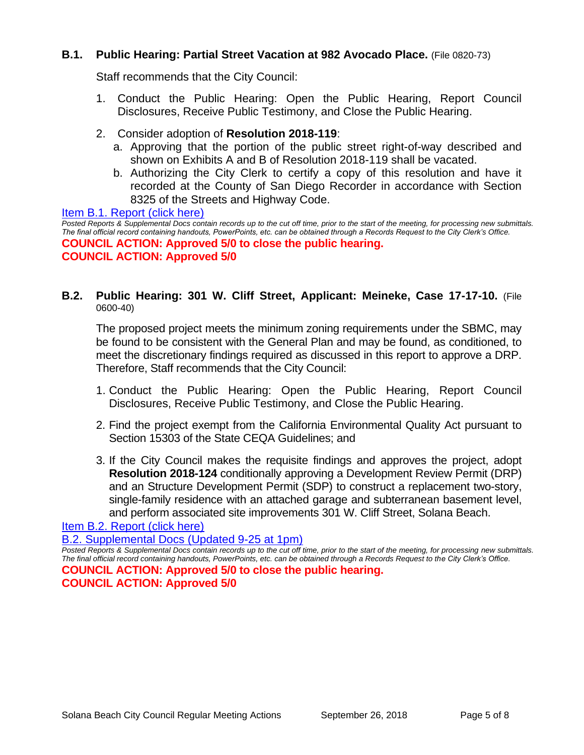## **B.1. Public Hearing: Partial Street Vacation at 982 Avocado Place.** (File 0820-73)

Staff recommends that the City Council:

- 1. Conduct the Public Hearing: Open the Public Hearing, Report Council Disclosures, Receive Public Testimony, and Close the Public Hearing.
- 2. Consider adoption of **Resolution 2018-119**:
	- a. Approving that the portion of the public street right-of-way described and shown on Exhibits A and B of Resolution 2018-119 shall be vacated.
	- b. Authorizing the City Clerk to certify a copy of this resolution and have it recorded at the County of San Diego Recorder in accordance with Section 8325 of the Streets and Highway Code.

[Item B.1. Report \(click here\)](https://solanabeach.govoffice3.com/vertical/Sites/%7B840804C2-F869-4904-9AE3-720581350CE7%7D/uploads/Item_B.1._Report_(click_here)_-_09-26-18.PDF) 

*Posted Reports & Supplemental Docs contain records up to the cut off time, prior to the start of the meeting, for processing new submittals. The final official record containing handouts, PowerPoints, etc. can be obtained through a Records Request to the City Clerk's Office.* **COUNCIL ACTION: Approved 5/0 to close the public hearing. COUNCIL ACTION: Approved 5/0**

## **B.2. Public Hearing: 301 W. Cliff Street, Applicant: Meineke, Case 17-17-10.** (File 0600-40)

The proposed project meets the minimum zoning requirements under the SBMC, may be found to be consistent with the General Plan and may be found, as conditioned, to meet the discretionary findings required as discussed in this report to approve a DRP. Therefore, Staff recommends that the City Council:

- 1. Conduct the Public Hearing: Open the Public Hearing, Report Council Disclosures, Receive Public Testimony, and Close the Public Hearing.
- 2. Find the project exempt from the California Environmental Quality Act pursuant to Section 15303 of the State CEQA Guidelines; and
- 3. If the City Council makes the requisite findings and approves the project, adopt **Resolution 2018-124** conditionally approving a Development Review Permit (DRP) and an Structure Development Permit (SDP) to construct a replacement two-story, single-family residence with an attached garage and subterranean basement level, and perform associated site improvements 301 W. Cliff Street, Solana Beach.

### [Item B.2. Report \(click here\)](https://solanabeach.govoffice3.com/vertical/Sites/%7B840804C2-F869-4904-9AE3-720581350CE7%7D/uploads/Item_B.2._Report_(click_here)_-_09-26-18-R_(Reduced).pdf)

[B.2. Supplemental Docs \(Updated 9-25 at 1pm\)](https://solanabeach.govoffice3.com/vertical/Sites/%7B840804C2-F869-4904-9AE3-720581350CE7%7D/uploads/B.2._Supplemental_Docs_(Updated_9-25_at_1245pm).pdf)

*Posted Reports & Supplemental Docs contain records up to the cut off time, prior to the start of the meeting, for processing new submittals. The final official record containing handouts, PowerPoints, etc. can be obtained through a Records Request to the City Clerk's Office.* **COUNCIL ACTION: Approved 5/0 to close the public hearing. COUNCIL ACTION: Approved 5/0**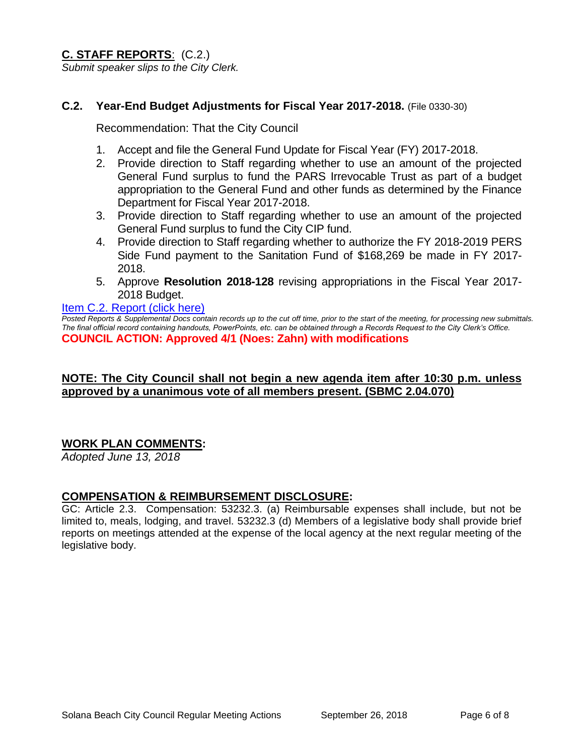**C. STAFF REPORTS**: (C.2.) *Submit speaker slips to the City Clerk.*

## **C.2. Year-End Budget Adjustments for Fiscal Year 2017-2018.** (File 0330-30)

Recommendation: That the City Council

- 1. Accept and file the General Fund Update for Fiscal Year (FY) 2017-2018.
- 2. Provide direction to Staff regarding whether to use an amount of the projected General Fund surplus to fund the PARS Irrevocable Trust as part of a budget appropriation to the General Fund and other funds as determined by the Finance Department for Fiscal Year 2017-2018.
- 3. Provide direction to Staff regarding whether to use an amount of the projected General Fund surplus to fund the City CIP fund.
- 4. Provide direction to Staff regarding whether to authorize the FY 2018-2019 PERS Side Fund payment to the Sanitation Fund of \$168,269 be made in FY 2017- 2018.
- 5. Approve **Resolution 2018-128** revising appropriations in the Fiscal Year 2017- 2018 Budget.

#### [Item C.2. Report \(click here\)](https://solanabeach.govoffice3.com/vertical/Sites/%7B840804C2-F869-4904-9AE3-720581350CE7%7D/uploads/Item_C.2._Report_(click_here)_-_09-26-18.PDF)

*Posted Reports & Supplemental Docs contain records up to the cut off time, prior to the start of the meeting, for processing new submittals. The final official record containing handouts, PowerPoints, etc. can be obtained through a Records Request to the City Clerk's Office.* **COUNCIL ACTION: Approved 4/1 (Noes: Zahn) with modifications** 

## **NOTE: The City Council shall not begin a new agenda item after 10:30 p.m. unless approved by a unanimous vote of all members present. (SBMC 2.04.070)**

## **WORK PLAN COMMENTS:**

*Adopted June 13, 2018*

### **COMPENSATION & REIMBURSEMENT DISCLOSURE:**

GC: Article 2.3. Compensation: 53232.3. (a) Reimbursable expenses shall include, but not be limited to, meals, lodging, and travel. 53232.3 (d) Members of a legislative body shall provide brief reports on meetings attended at the expense of the local agency at the next regular meeting of the legislative body.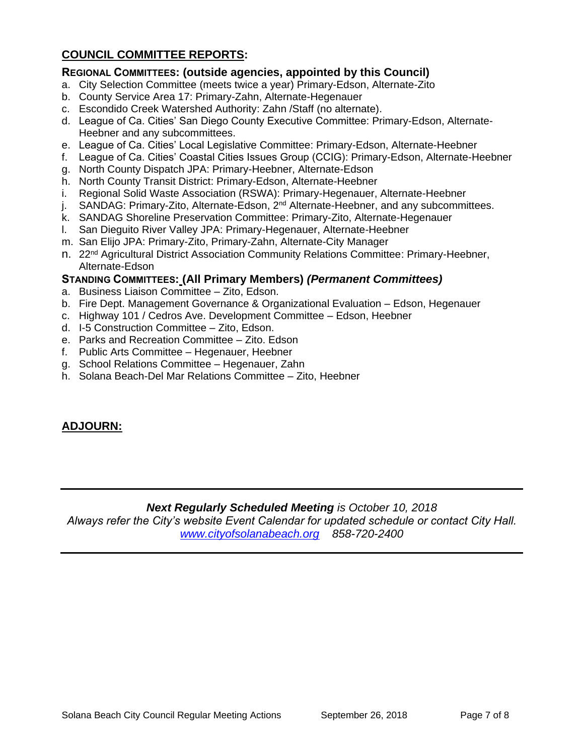# **COUNCIL COMMITTEE REPORTS:**

## **REGIONAL COMMITTEES: (outside agencies, appointed by this Council)**

- a. City Selection Committee (meets twice a year) Primary-Edson, Alternate-Zito
- b. County Service Area 17: Primary-Zahn, Alternate-Hegenauer
- c. Escondido Creek Watershed Authority: Zahn /Staff (no alternate).
- d. League of Ca. Cities' San Diego County Executive Committee: Primary-Edson, Alternate-Heebner and any subcommittees.
- e. League of Ca. Cities' Local Legislative Committee: Primary-Edson, Alternate-Heebner
- f. League of Ca. Cities' Coastal Cities Issues Group (CCIG): Primary-Edson, Alternate-Heebner
- g. North County Dispatch JPA: Primary-Heebner, Alternate-Edson
- h. North County Transit District: Primary-Edson, Alternate-Heebner
- i. Regional Solid Waste Association (RSWA): Primary-Hegenauer, Alternate-Heebner
- j. SANDAG: Primary-Zito, Alternate-Edson, 2<sup>nd</sup> Alternate-Heebner, and any subcommittees.
- k. SANDAG Shoreline Preservation Committee: Primary-Zito, Alternate-Hegenauer
- l. San Dieguito River Valley JPA: Primary-Hegenauer, Alternate-Heebner
- m. San Elijo JPA: Primary-Zito, Primary-Zahn, Alternate-City Manager
- n. 22<sup>nd</sup> Agricultural District Association Community Relations Committee: Primary-Heebner, Alternate-Edson

### **STANDING COMMITTEES: (All Primary Members)** *(Permanent Committees)*

- a. Business Liaison Committee Zito, Edson.
- b. Fire Dept. Management Governance & Organizational Evaluation Edson, Hegenauer
- c. Highway 101 / Cedros Ave. Development Committee Edson, Heebner
- d. I-5 Construction Committee Zito, Edson.
- e. Parks and Recreation Committee Zito. Edson
- f. Public Arts Committee Hegenauer, Heebner
- g. School Relations Committee Hegenauer, Zahn
- h. Solana Beach-Del Mar Relations Committee Zito, Heebner

## **ADJOURN:**

### *Next Regularly Scheduled Meeting is October 10, 2018*

*Always refer the City's website Event Calendar for updated schedule or contact City Hall. [www.cityofsolanabeach.org](http://www.cityofsolanabeach.org/) 858-720-2400*